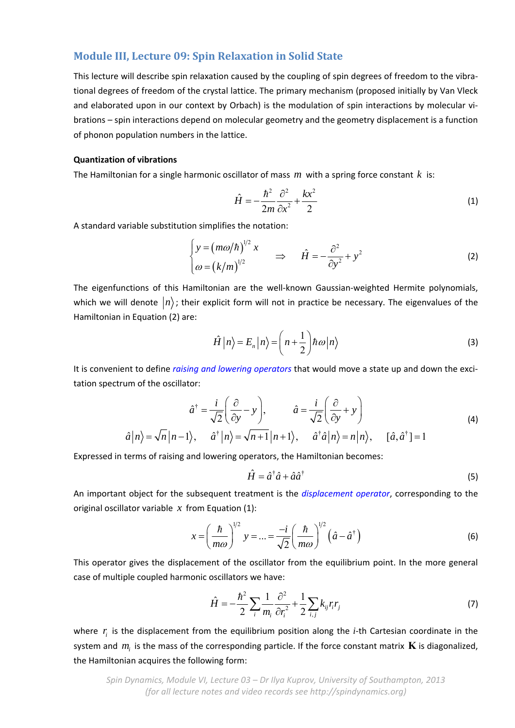# **Module III, Lecture 09: Spin Relaxation in Solid State**

This lecture will describe spin relaxation caused by the coupling of spin degrees of freedom to the vibrational degrees of freedom of the crystal lattice. The primary mechanism (proposed initially by Van Vleck and elaborated upon in our context by Orbach) is the modulation of spin interactions by molecular vibrations – spin interactions depend on molecular geometry and the geometry displacement is a function of phonon population numbers in the lattice.

## **Quantization of vibrations**

The Hamiltonian for a single harmonic oscillator of mass *m* with a spring force constant *k* is:

$$
\hat{H} = -\frac{\hbar^2}{2m} \frac{\partial^2}{\partial x^2} + \frac{kx^2}{2}
$$
 (1)

A standard variable substitution simplifies the notation:

$$
\begin{cases}\ny = (m\omega/\hbar)^{1/2} x \\
\omega = (k/m)^{1/2}\n\end{cases}\n\Rightarrow \hat{H} = -\frac{\partial^2}{\partial y^2} + y^2
$$
\n(2)

The eigenfunctions of this Hamiltonian are the well-known Gaussian-weighted Hermite polynomials, which we will denote  $\ket{n}$ ; their explicit form will not in practice be necessary. The eigenvalues of the Hamiltonian in Equation (2) are:

$$
\hat{H}|n\rangle = E_n|n\rangle = \left(n + \frac{1}{2}\right)\hbar\omega|n\rangle
$$
\n(3)

It is convenient to define *raising and lowering operators* that would move a state up and down the excitation spectrum of the oscillator:

$$
\hat{a}^{\dagger} = \frac{i}{\sqrt{2}} \left( \frac{\partial}{\partial y} - y \right), \qquad \hat{a} = \frac{i}{\sqrt{2}} \left( \frac{\partial}{\partial y} + y \right)
$$
(4)

$$
\hat{a}|n\rangle = \sqrt{n}|n-1\rangle
$$
,  $\hat{a}^{\dagger}|n\rangle = \sqrt{n+1}|n+1\rangle$ ,  $\hat{a}^{\dagger}\hat{a}|n\rangle = n|n\rangle$ ,  $[\hat{a}, \hat{a}^{\dagger}] = 1$ 

Expressed in terms of raising and lowering operators, the Hamiltonian becomes:

$$
\hat{H} = \hat{a}^\dagger \hat{a} + \hat{a} \hat{a}^\dagger \tag{5}
$$

An important object for the subsequent treatment is the *displacement operator*, corresponding to the original oscillator variable  $x$  from Equation (1):

$$
x = \left(\frac{\hbar}{m\omega}\right)^{1/2} y = \dots = \frac{-i}{\sqrt{2}} \left(\frac{\hbar}{m\omega}\right)^{1/2} \left(\hat{a} - \hat{a}^{\dagger}\right)
$$
(6)

This operator gives the displacement of the oscillator from the equilibrium point. In the more general case of multiple coupled harmonic oscillators we have:

$$
\hat{H} = -\frac{\hbar^2}{2} \sum_i \frac{1}{m_i} \frac{\partial^2}{\partial r_i^2} + \frac{1}{2} \sum_{i,j} k_{ij} r_i r_j \tag{7}
$$

where  $r_i$  is the displacement from the equilibrium position along the *i*-th Cartesian coordinate in the system and  $m_i$  is the mass of the corresponding particle. If the force constant matrix  $\bf{K}$  is diagonalized, the Hamiltonian acquires the following form:

*Spin Dynamics, Module VI, Lecture 03 – Dr Ilya Kuprov, University of Southampton, 2013 (for all lecture notes and video records see http://spindynamics.org)*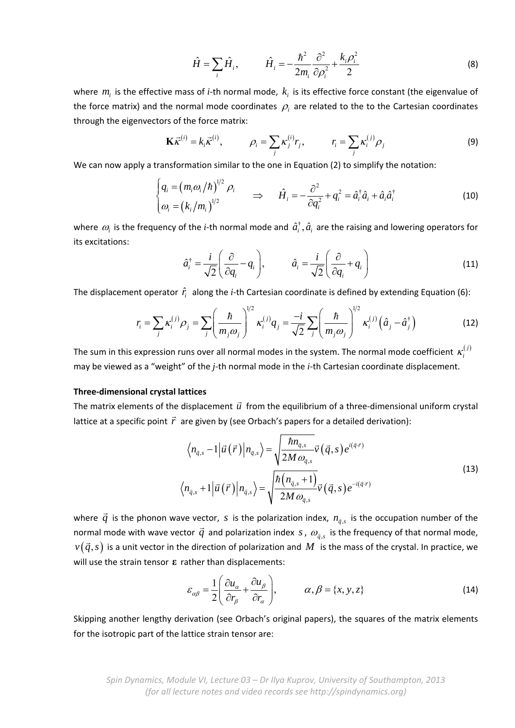$$
\hat{H} = \sum_{i} \hat{H}_{i}, \qquad \hat{H}_{i} = -\frac{\hbar^{2}}{2m_{i}} \frac{\partial^{2}}{\partial \rho_{i}^{2}} + \frac{k_{i}\rho_{i}^{2}}{2}
$$
(8)

where  $m_i$  is the effective mass of *i*-th normal mode,  $k_i$  is its effective force constant (the eigenvalue of the force matrix) and the normal mode coordinates  $\rho_i$  are related to the to the Cartesian coordinates through the eigenvectors of the force matrix:

$$
\mathbf{K}\vec{\kappa}^{(i)} = k_i \vec{\kappa}^{(i)}, \qquad \rho_i = \sum_j \kappa_j^{(i)} r_j, \qquad r_i = \sum_j \kappa_i^{(j)} \rho_j
$$
 (9)

We can now apply a transformation similar to the one in Equation (2) to simplify the notation:

$$
\begin{cases}\n q_i = (m_i \omega_i / \hbar)^{1/2} \rho_i \\
 \omega_i = (k_i / m_i)^{1/2}\n\end{cases}\n\Rightarrow\n\hat{H}_i = -\frac{\partial^2}{\partial q_i^2} + q_i^2 = \hat{a}_i^\dagger \hat{a}_i + \hat{a}_i \hat{a}_i^\dagger
$$
\n(10)

where  $\omega_i$  is the frequency of the *i*-th normal mode and  $\hat{a}_i^{\dagger}$ ,  $\hat{a}_i$  are the raising and lowering operators for its excitations:

$$
\hat{a}_i^{\dagger} = \frac{i}{\sqrt{2}} \left( \frac{\partial}{\partial q_i} - q_i \right), \qquad \hat{a}_i = \frac{i}{\sqrt{2}} \left( \frac{\partial}{\partial q_i} + q_i \right)
$$
(11)

The displacement operator  $\hat{r}_i$  along the *i*-th Cartesian coordinate is defined by extending Equation (6):

$$
r_i = \sum_j \kappa_i^{(j)} \rho_j = \sum_j \left(\frac{\hbar}{m_j \omega_j}\right)^{1/2} \kappa_i^{(j)} q_j = \frac{-i}{\sqrt{2}} \sum_j \left(\frac{\hbar}{m_j \omega_j}\right)^{1/2} \kappa_i^{(j)} \left(\hat{a}_j - \hat{a}_j^{\dagger}\right)
$$
(12)

The sum in this expression runs over all normal modes in the system. The normal mode coefficient  $\kappa_i^{(j)}$ may be viewed as a "weight" of the *j*‐th normal mode in the *i*‐th Cartesian coordinate displacement.

## **Three‐dimensional crystal lattices**

The matrix elements of the displacement  $\vec{u}$  from the equilibrium of a three-dimensional uniform crystal lattice at a specific point *r* are given by (see Orbach's papers for a detailed derivation):

$$
\left\langle n_{\bar{q},s} - 1 \middle| \vec{u}(\vec{r}) \middle| n_{\bar{q},s} \right\rangle = \sqrt{\frac{\hbar n_{\bar{q},s}}{2M \omega_{\bar{q},s}}} \vec{v}(\vec{q},s) e^{i(\vec{q}\cdot\vec{r})}
$$
\n
$$
\left\langle n_{\bar{q},s} + 1 \middle| \vec{u}(\vec{r}) \middle| n_{\bar{q},s} \right\rangle = \sqrt{\frac{\hbar (n_{\bar{q},s} + 1)}{2M \omega_{\bar{q},s}}} \vec{v}(\vec{q},s) e^{-i(\vec{q}\cdot\vec{r})}
$$
\n(13)

where  $\vec{q}$  is the phonon wave vector, *s* is the polarization index,  $n_{\vec{q},s}$  is the occupation number of the normal mode with wave vector  $\vec{q}$  and polarization index *s*,  $\omega_{\vec{q},s}$  is the frequency of that normal mode,  $v(\vec{q},s)$  is a unit vector in the direction of polarization and  $M$  is the mass of the crystal. In practice, we  $v(\vec{q},s)$ will use the strain tensor **ε** rather than displacements:

$$
\varepsilon_{\alpha\beta} = \frac{1}{2} \left( \frac{\partial u_{\alpha}}{\partial r_{\beta}} + \frac{\partial u_{\beta}}{\partial r_{\alpha}} \right), \qquad \alpha, \beta = \{x, y, z\}
$$
 (14)

Skipping another lengthy derivation (see Orbach's original papers), the squares of the matrix elements for the isotropic part of the lattice strain tensor are: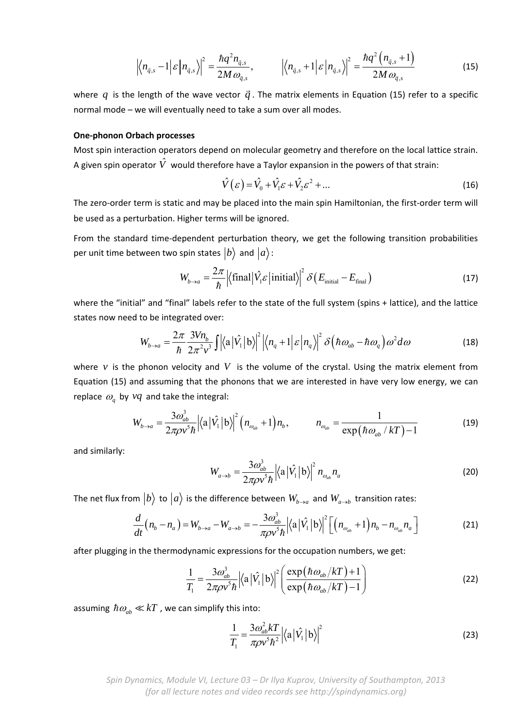$$
\left|\left\langle n_{\overline{q},s}-1\right|\varepsilon\left|n_{\overline{q},s}\right\rangle\right|^2 = \frac{\hbar q^2 n_{\overline{q},s}}{2M\omega_{\overline{q},s}}, \qquad \left|\left\langle n_{\overline{q},s}+1\right|\varepsilon\left|n_{\overline{q},s}\right\rangle\right|^2 = \frac{\hbar q^2 \left(n_{\overline{q},s}+1\right)}{2M\omega_{\overline{q},s}} \tag{15}
$$

where  $q$  is the length of the wave vector  $\vec{q}$ . The matrix elements in Equation (15) refer to a specific normal mode – we will eventually need to take a sum over all modes.

#### **One‐phonon Orbach processes**

Most spin interaction operators depend on molecular geometry and therefore on the local lattice strain. A given spin operator  $\hat{V}$  would therefore have a Taylor expansion in the powers of that strain:

$$
\hat{V}(\varepsilon) = \hat{V}_0 + \hat{V}_1 \varepsilon + \hat{V}_2 \varepsilon^2 + \dots
$$
\n(16)

The zero-order term is static and may be placed into the main spin Hamiltonian, the first-order term will be used as a perturbation. Higher terms will be ignored.

From the standard time-dependent perturbation theory, we get the following transition probabilities per unit time between two spin states  $|b\rangle$  and  $|a\rangle$ :

$$
W_{b\to a} = \frac{2\pi}{\hbar} \left| \langle \text{final} \left| \hat{V}_i \varepsilon \right| \text{initial} \right\rangle \right|^2 \delta \left( E_{\text{initial}} - E_{\text{final}} \right) \tag{17}
$$

where the "initial" and "final" labels refer to the state of the full system (spins + lattice), and the lattice states now need to be integrated over:

$$
W_{b\rightarrow a} = \frac{2\pi}{\hbar} \frac{3Vn_b}{2\pi^2 v^3} \iint \left| \langle a | \hat{V}_1 | b \rangle \right|^2 \left| \langle n_q + 1 | \varepsilon | n_q \rangle \right|^2 \delta \left( \hbar \omega_{ab} - \hbar \omega_q \right) \omega^2 d\omega \tag{18}
$$

where  $\nu$  is the phonon velocity and  $V$  is the volume of the crystal. Using the matrix element from Equation (15) and assuming that the phonons that we are interested in have very low energy, we can replace  $\omega_a$  by  $vq$  and take the integral:

$$
W_{b\rightarrow a} = \frac{3\omega_{ab}^3}{2\pi\rho v^5 \hbar} \Big| \langle \mathbf{a} | \hat{V}_1 | \mathbf{b} \rangle \Big|^2 \Big( n_{\omega_{ab}} + 1 \Big) n_b, \qquad n_{\omega_{ab}} = \frac{1}{\exp(\hbar \omega_{ab} / kT) - 1} \tag{19}
$$

and similarly:

$$
W_{a\to b} = \frac{3\omega_{ab}^3}{2\pi\rho v^5 \hbar} \left| \left\langle \mathbf{a} \left| \hat{V}_1 \right| \mathbf{b} \right\rangle \right|^2 n_{\omega_{ab}} n_a \tag{20}
$$

The net flux from  $|b\rangle$  to  $|a\rangle$  is the difference between  $W_{b\rightarrow a}$  and  $W_{a\rightarrow b}$  transition rates:

$$
\frac{d}{dt}\left(n_b - n_a\right) = W_{b \to a} - W_{a \to b} = -\frac{3\omega_{ab}^3}{\pi \rho v^5 \hbar} \left|\left\langle a \left| \hat{V}_1 \right| b \right\rangle\right|^2 \left[\left(n_{\omega_{ab}} + 1\right) n_b - n_{\omega_{ab}} n_a\right]
$$
\n(21)

after plugging in the thermodynamic expressions for the occupation numbers, we get:

$$
\frac{1}{T_1} = \frac{3\omega_{ab}^3}{2\pi\rho v^5 \hbar} \Big| \langle \mathbf{a} | \hat{V}_1 | \mathbf{b} \rangle \Big|^2 \Bigg( \frac{\exp(\hbar \omega_{ab}/kT) + 1}{\exp(\hbar \omega_{ab}/kT) - 1} \Bigg)
$$
(22)

assuming  $\hbar \omega_{ab} \ll kT$ , we can simplify this into:

$$
\frac{1}{T_1} = \frac{3\omega_{ab}^2 kT}{\pi \rho v^5 \hbar^2} \left| \langle \mathbf{a} | \hat{V}_1 | \mathbf{b} \rangle \right|^2 \tag{23}
$$

*Spin Dynamics, Module VI, Lecture 03 – Dr Ilya Kuprov, University of Southampton, 2013 (for all lecture notes and video records see http://spindynamics.org)*